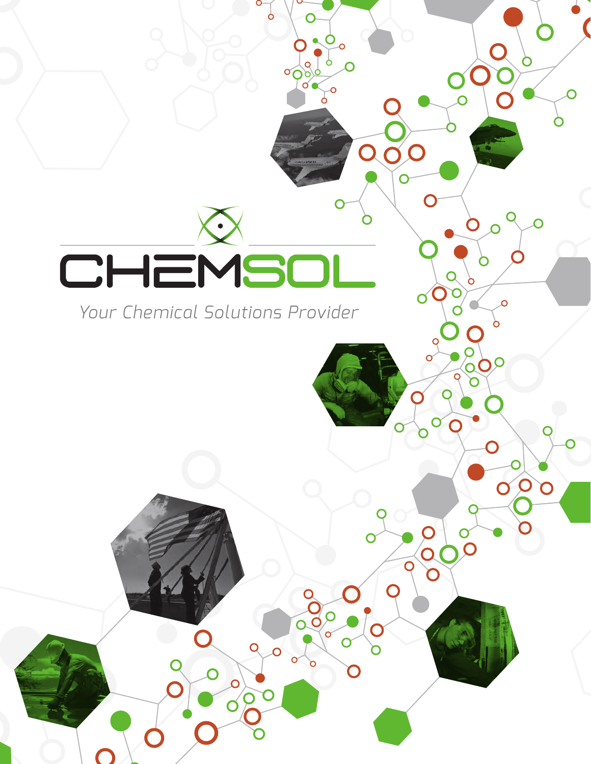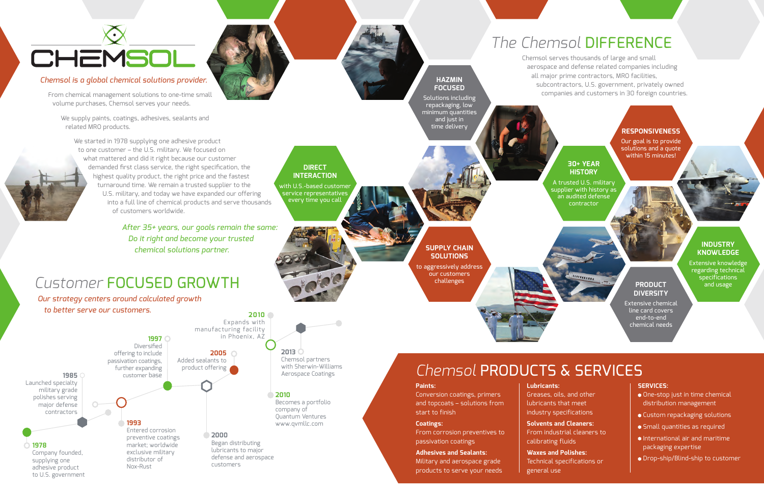Chemsol is a Quality of the Chemsol is a Quality of the Chemsol is a Quality of the Chemsol is a Quality of the Chemsol is a Quality of the Chemsol is a Quality of the Chemsol is a Quality of the Chemsol is a Quality of th Products List (QPL) stocking distributor.

> **DIRECT INTERACTION** with U.S.-based customer service representatives every time you call

#### **30+ YEAR HISTORY**

ummur

A trusted U.S. military  $\tt{supplier}$  with history as an audited defense contractor

### **SUPPLY CHAIN SOLUTIONS**

to aggressively address our customers challenges

#### **INDUSTRY KNOWLEDGE**

Extensive knowledge regarding technical specifications and usage

#### **HAZMIN FOCUSED**

Solutions including repackaging, low minimum quantities and just in time delivery

#### **PRODUCT DIVERSITY**

Extensive chemical line card covers end-to-end chemical needs

#### **RESPONSIVENESS**

Our goal is to provide solutions and a quote within 15 minutes!

## *The Chemsol* DIFFERENCE

Chemsol serves thousands of large and small aerospace and defense related companies including all major prime contractors, MRO facilities, subcontractors, U.S. government, privately owned companies and customers in 30 foreign countries.

# CHEMSOL

#### *Chemsol is a global chemical solutions provider.*

From chemical management solutions to one-time small volume purchases, Chemsol serves your needs.

We supply paints, coatings, adhesives, sealants and related MRO products.



We started in 1978 supplying one adhesive product to one customer – the U.S. military. We focused on what mattered and did it right because our customer demanded first class service, the right specification, the highest quality product, the right price and the fastest turnaround time. We remain a trusted supplier to the U.S. military, and today we have expanded our offering into a full line of chemical products and serve thousands of customers worldwide.

> *After 35+ years, our goals remain the same: Do it right and become your trusted chemical solutions partner.*

## *Customer* FOCUSED GROWTH

*Our strategy centers around calculated growth to better serve our customers.*

> Conversion coatings, primers and topcoats – solutions from start to finish

From corrosion preventives to passivation coatings

#### **Adhesives and Sealants:**

Military and aerospace grade products to serve your needs

## **Lubricants:** lubricants that meet

Greases, oils, and other industry specifications

**Solvents and Cleaners:** From industrial cleaners to calibrating fluids

**Waxes and Polishes:** Technical specifications or

general use

#### **SERVICES:**

- One-stop just in time chemical distribution management
- Custom repackaging solutions
- Small quantities as required
- International air and maritime packaging expertise
- Drop-ship/Blind-ship to customer

*Chemsol* PRODUCTS & SERVICES